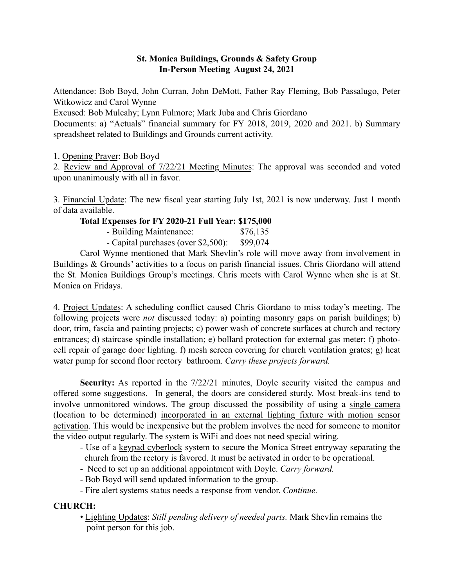## St. Monica Buildings, Grounds & Safety Group In-Person Meeting August 24, 2021

Attendance: Bob Boyd, John Curran, John DeMott, Father Ray Fleming, Bob Passalugo, Peter Witkowicz and Carol Wynne

Excused: Bob Mulcahy; Lynn Fulmore; Mark Juba and Chris Giordano

Documents: a) "Actuals" financial summary for FY 2018, 2019, 2020 and 2021. b) Summary spreadsheet related to Buildings and Grounds current activity.

1. Opening Prayer: Bob Boyd

2. Review and Approval of 7/22/21 Meeting Minutes: The approval was seconded and voted upon unanimously with all in favor.

3. Financial Update: The new fiscal year starting July 1st, 2021 is now underway. Just 1 month of data available.

## Total Expenses for FY 2020-21 Full Year: \$175,000

- Building Maintenance: \$76,135

- Capital purchases (over \$2,500): \$99,074

Carol Wynne mentioned that Mark Shevlin's role will move away from involvement in Buildings & Grounds' activities to a focus on parish financial issues. Chris Giordano will attend the St. Monica Buildings Group's meetings. Chris meets with Carol Wynne when she is at St. Monica on Fridays.

4. Project Updates: A scheduling conflict caused Chris Giordano to miss today's meeting. The following projects were *not* discussed today: a) pointing masonry gaps on parish buildings; b) door, trim, fascia and painting projects; c) power wash of concrete surfaces at church and rectory entrances; d) staircase spindle installation; e) bollard protection for external gas meter; f) photocell repair of garage door lighting. f) mesh screen covering for church ventilation grates; g) heat water pump for second floor rectory bathroom. *Carry these projects forward.*

Security: As reported in the  $7/22/21$  minutes, Doyle security visited the campus and offered some suggestions. In general, the doors are considered sturdy. Most break-ins tend to involve unmonitored windows. The group discussed the possibility of using a single camera (location to be determined) incorporated in an external lighting fixture with motion sensor activation. This would be inexpensive but the problem involves the need for someone to monitor the video output regularly. The system is WiFi and does not need special wiring.

- Use of a keypad cyberlock system to secure the Monica Street entryway separating the church from the rectory is favored. It must be activated in order to be operational.

- Need to set up an additional appointment with Doyle. *Carry forward.*
- Bob Boyd will send updated information to the group.
- Fire alert systems status needs a response from vendor. *Continue.*

# CHURCH:

• Lighting Updates: *Still pending delivery of needed parts.* Mark Shevlin remains the point person for this job.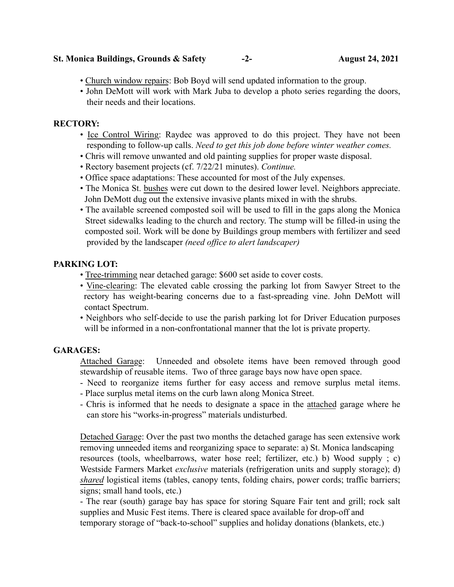#### St. Monica Buildings, Grounds & Safety -2- August 24, 2021

- Church window repairs: Bob Boyd will send updated information to the group.
- John DeMott will work with Mark Juba to develop a photo series regarding the doors, their needs and their locations.

#### RECTORY:

- Ice Control Wiring: Raydec was approved to do this project. They have not been responding to follow-up calls. *Need to get this job done before winter weather comes.*
- Chris will remove unwanted and old painting supplies for proper waste disposal.
- Rectory basement projects (cf. 7/22/21 minutes). *Continue.*
- Office space adaptations: These accounted for most of the July expenses.
- The Monica St. bushes were cut down to the desired lower level. Neighbors appreciate. John DeMott dug out the extensive invasive plants mixed in with the shrubs.
- The available screened composted soil will be used to fill in the gaps along the Monica Street sidewalks leading to the church and rectory. The stump will be filled-in using the composted soil. Work will be done by Buildings group members with fertilizer and seed provided by the landscaper *(need office to alert landscaper)*

### PARKING LOT:

- Tree-trimming near detached garage: \$600 set aside to cover costs.
- Vine-clearing: The elevated cable crossing the parking lot from Sawyer Street to the rectory has weight-bearing concerns due to a fast-spreading vine. John DeMott will contact Spectrum.
- Neighbors who self-decide to use the parish parking lot for Driver Education purposes will be informed in a non-confrontational manner that the lot is private property.

### GARAGES:

Attached Garage: Unneeded and obsolete items have been removed through good stewardship of reusable items. Two of three garage bays now have open space.

- Need to reorganize items further for easy access and remove surplus metal items.
- Place surplus metal items on the curb lawn along Monica Street.
- Chris is informed that he needs to designate a space in the attached garage where he can store his "works-in-progress" materials undisturbed.

Detached Garage: Over the past two months the detached garage has seen extensive work removing unneeded items and reorganizing space to separate: a) St. Monica landscaping resources (tools, wheelbarrows, water hose reel; fertilizer, etc.) b) Wood supply ; c) Westside Farmers Market *exclusive* materials (refrigeration units and supply storage); d) *shared* logistical items (tables, canopy tents, folding chairs, power cords; traffic barriers; signs; small hand tools, etc.)

- The rear (south) garage bay has space for storing Square Fair tent and grill; rock salt supplies and Music Fest items. There is cleared space available for drop-off and temporary storage of "back-to-school" supplies and holiday donations (blankets, etc.)